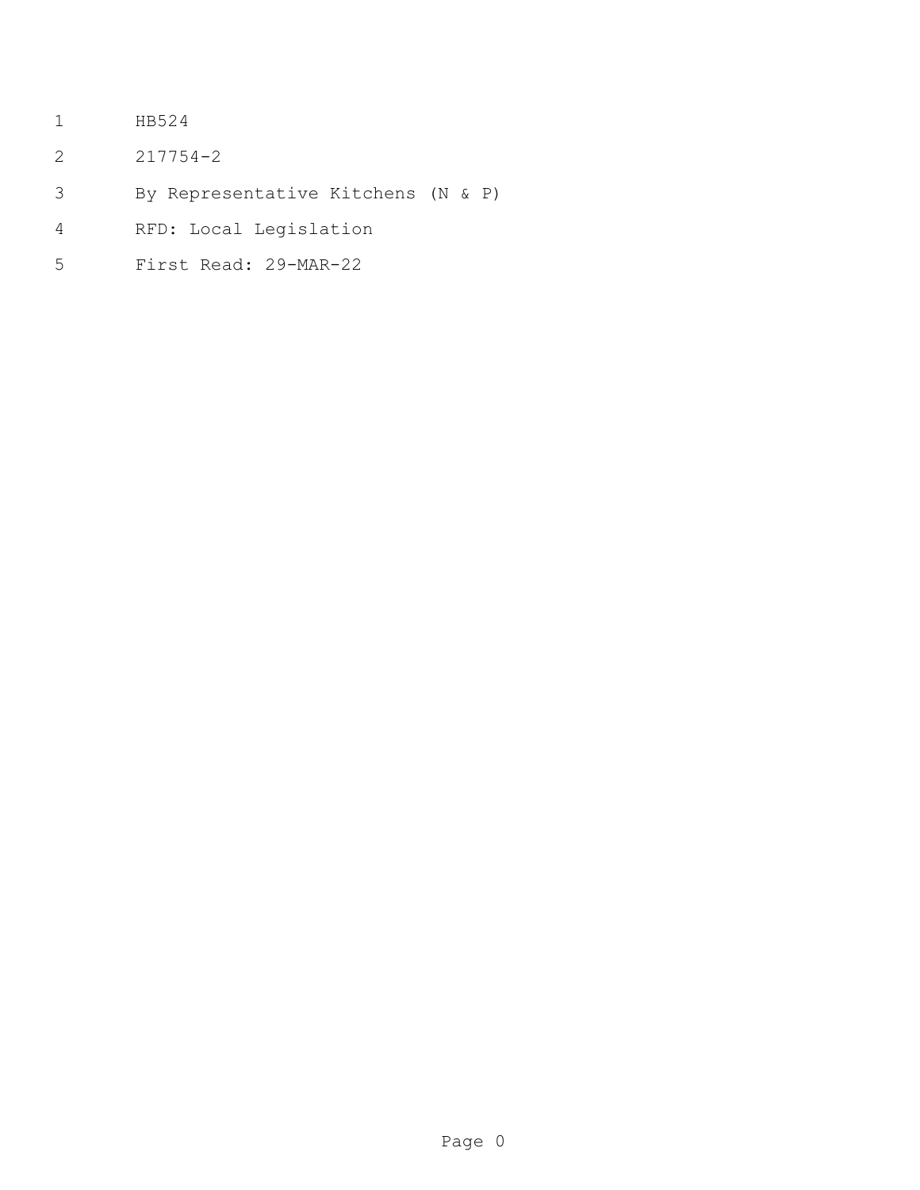- HB524
- 217754-2
- By Representative Kitchens (N & P)
- RFD: Local Legislation
- First Read: 29-MAR-22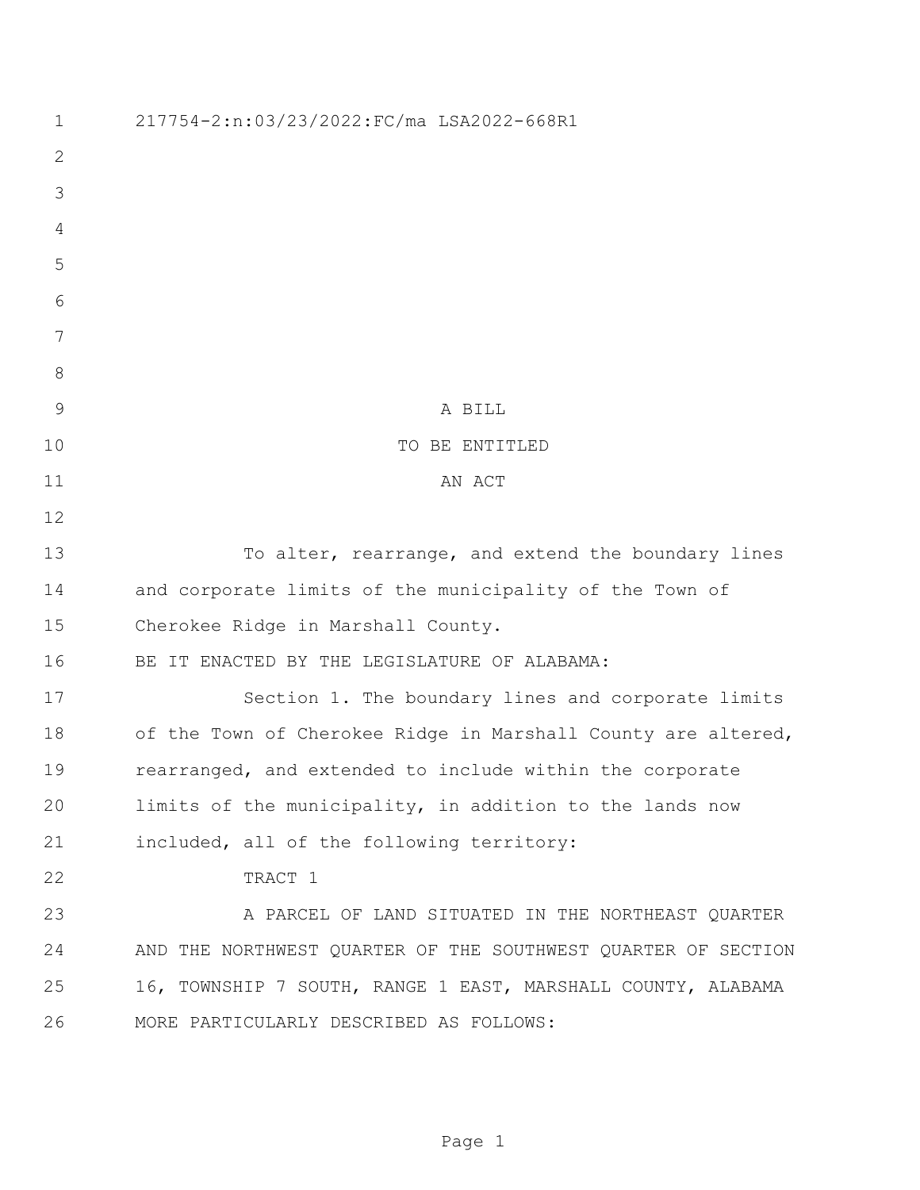| $\mathbf 1$    | 217754-2:n:03/23/2022:FC/ma LSA2022-668R1                     |
|----------------|---------------------------------------------------------------|
| $\mathbf{2}$   |                                                               |
| 3              |                                                               |
| 4              |                                                               |
| 5              |                                                               |
| 6              |                                                               |
| 7              |                                                               |
| $8\,$          |                                                               |
| $\overline{9}$ | A BILL                                                        |
| 10             | TO BE ENTITLED                                                |
| 11             | AN ACT                                                        |
| 12             |                                                               |
| 13             | To alter, rearrange, and extend the boundary lines            |
| 14             | and corporate limits of the municipality of the Town of       |
| 15             | Cherokee Ridge in Marshall County.                            |
| 16             | BE IT ENACTED BY THE LEGISLATURE OF ALABAMA:                  |
| 17             | Section 1. The boundary lines and corporate limits            |
| 18             | of the Town of Cherokee Ridge in Marshall County are altered, |
| 19             | rearranged, and extended to include within the corporate      |
| 20             | limits of the municipality, in addition to the lands now      |
| 21             | included, all of the following territory:                     |
| 22             | TRACT 1                                                       |
| 23             | A PARCEL OF LAND SITUATED IN THE NORTHEAST QUARTER            |
| 24             | AND THE NORTHWEST QUARTER OF THE SOUTHWEST QUARTER OF SECTION |
| 25             | 16, TOWNSHIP 7 SOUTH, RANGE 1 EAST, MARSHALL COUNTY, ALABAMA  |
| 26             | MORE PARTICULARLY DESCRIBED AS FOLLOWS:                       |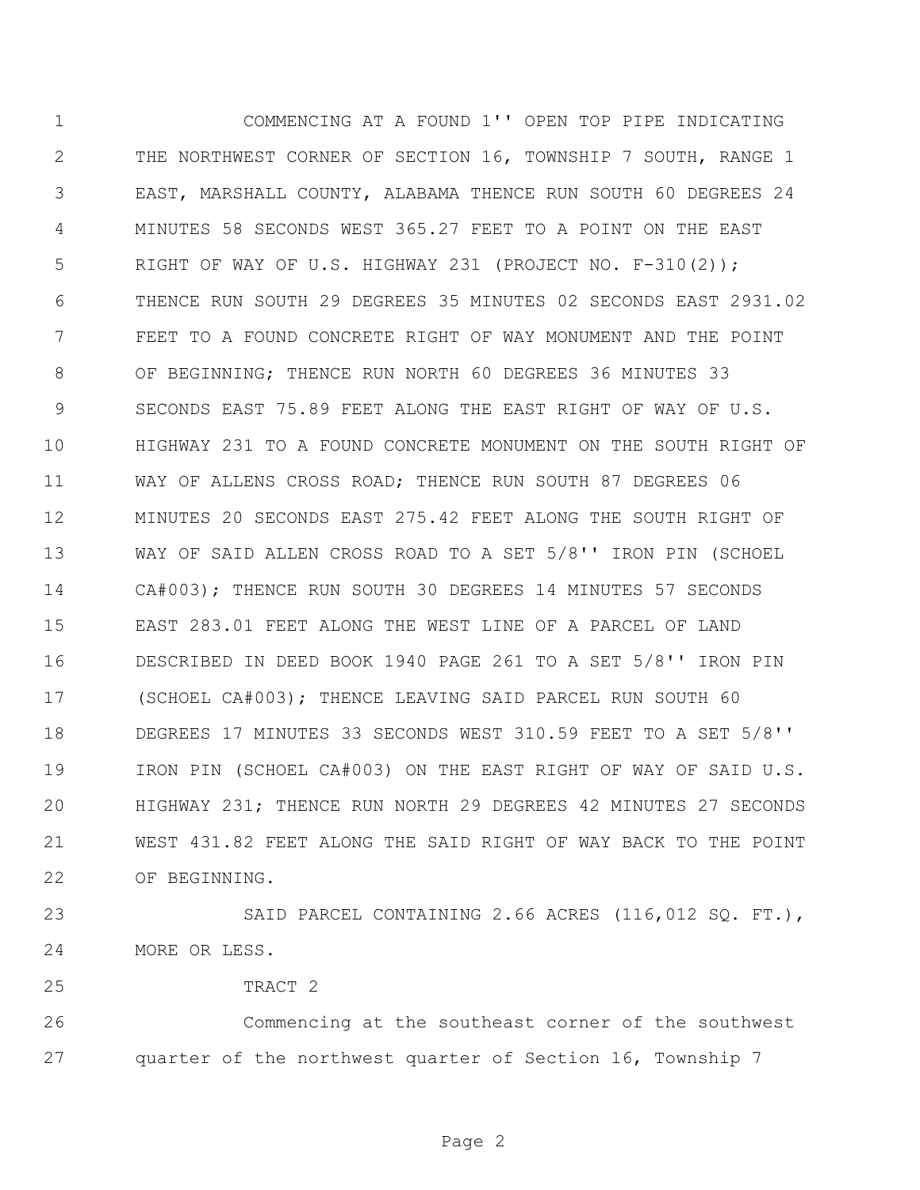COMMENCING AT A FOUND 1'' OPEN TOP PIPE INDICATING THE NORTHWEST CORNER OF SECTION 16, TOWNSHIP 7 SOUTH, RANGE 1 EAST, MARSHALL COUNTY, ALABAMA THENCE RUN SOUTH 60 DEGREES 24 MINUTES 58 SECONDS WEST 365.27 FEET TO A POINT ON THE EAST RIGHT OF WAY OF U.S. HIGHWAY 231 (PROJECT NO. F-310(2)); THENCE RUN SOUTH 29 DEGREES 35 MINUTES 02 SECONDS EAST 2931.02 FEET TO A FOUND CONCRETE RIGHT OF WAY MONUMENT AND THE POINT OF BEGINNING; THENCE RUN NORTH 60 DEGREES 36 MINUTES 33 SECONDS EAST 75.89 FEET ALONG THE EAST RIGHT OF WAY OF U.S. HIGHWAY 231 TO A FOUND CONCRETE MONUMENT ON THE SOUTH RIGHT OF WAY OF ALLENS CROSS ROAD; THENCE RUN SOUTH 87 DEGREES 06 MINUTES 20 SECONDS EAST 275.42 FEET ALONG THE SOUTH RIGHT OF WAY OF SAID ALLEN CROSS ROAD TO A SET 5/8'' IRON PIN (SCHOEL CA#003); THENCE RUN SOUTH 30 DEGREES 14 MINUTES 57 SECONDS EAST 283.01 FEET ALONG THE WEST LINE OF A PARCEL OF LAND DESCRIBED IN DEED BOOK 1940 PAGE 261 TO A SET 5/8'' IRON PIN (SCHOEL CA#003); THENCE LEAVING SAID PARCEL RUN SOUTH 60 DEGREES 17 MINUTES 33 SECONDS WEST 310.59 FEET TO A SET 5/8'' IRON PIN (SCHOEL CA#003) ON THE EAST RIGHT OF WAY OF SAID U.S. HIGHWAY 231; THENCE RUN NORTH 29 DEGREES 42 MINUTES 27 SECONDS WEST 431.82 FEET ALONG THE SAID RIGHT OF WAY BACK TO THE POINT OF BEGINNING.

23 SAID PARCEL CONTAINING 2.66 ACRES (116,012 SQ. FT.), MORE OR LESS.

TRACT 2

 Commencing at the southeast corner of the southwest quarter of the northwest quarter of Section 16, Township 7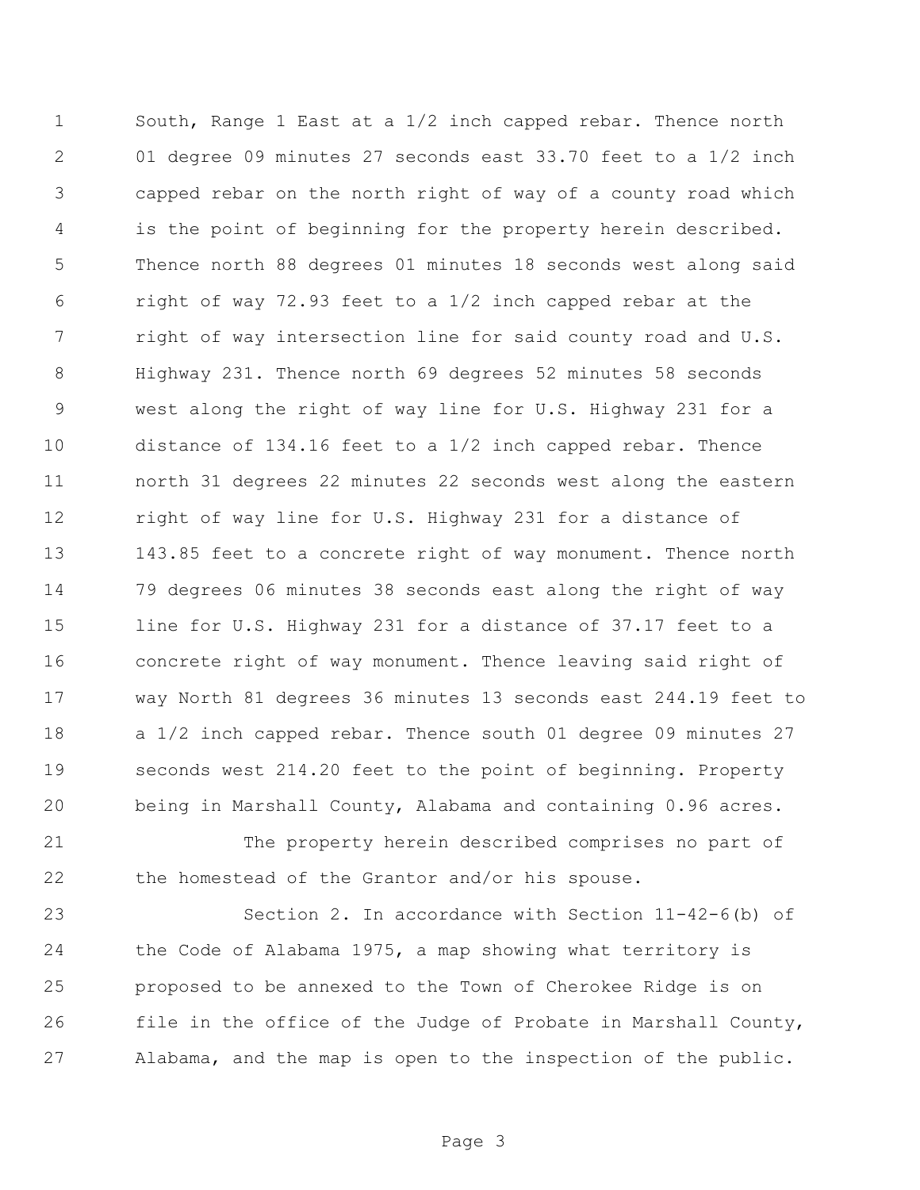South, Range 1 East at a 1/2 inch capped rebar. Thence north 01 degree 09 minutes 27 seconds east 33.70 feet to a 1/2 inch capped rebar on the north right of way of a county road which is the point of beginning for the property herein described. Thence north 88 degrees 01 minutes 18 seconds west along said right of way 72.93 feet to a 1/2 inch capped rebar at the right of way intersection line for said county road and U.S. Highway 231. Thence north 69 degrees 52 minutes 58 seconds west along the right of way line for U.S. Highway 231 for a distance of 134.16 feet to a 1/2 inch capped rebar. Thence north 31 degrees 22 minutes 22 seconds west along the eastern right of way line for U.S. Highway 231 for a distance of 143.85 feet to a concrete right of way monument. Thence north 79 degrees 06 minutes 38 seconds east along the right of way line for U.S. Highway 231 for a distance of 37.17 feet to a concrete right of way monument. Thence leaving said right of way North 81 degrees 36 minutes 13 seconds east 244.19 feet to a 1/2 inch capped rebar. Thence south 01 degree 09 minutes 27 seconds west 214.20 feet to the point of beginning. Property being in Marshall County, Alabama and containing 0.96 acres.

 The property herein described comprises no part of the homestead of the Grantor and/or his spouse.

 Section 2. In accordance with Section 11-42-6(b) of the Code of Alabama 1975, a map showing what territory is proposed to be annexed to the Town of Cherokee Ridge is on file in the office of the Judge of Probate in Marshall County, Alabama, and the map is open to the inspection of the public.

Page 3